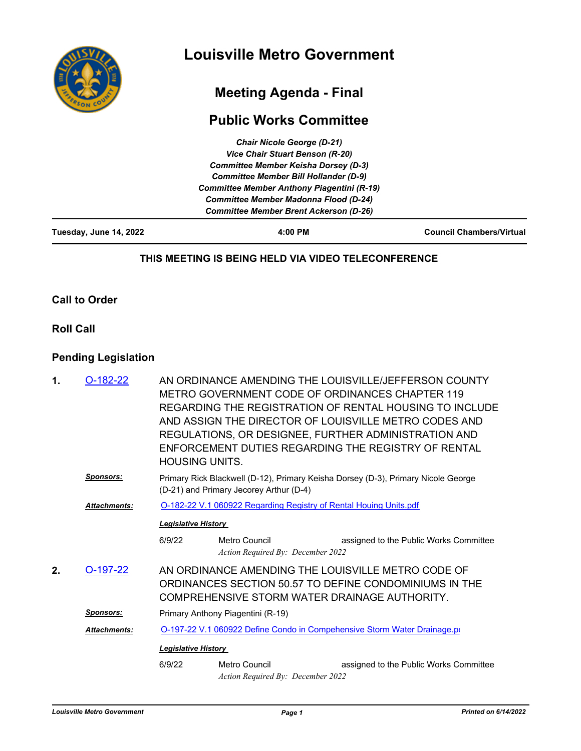

# **Meeting Agenda - Final**

# **Public Works Committee**

| Tuesday, June 14, 2022 | 4:00 PM                                           | <b>Council Chambers/Virtual</b> |  |  |  |
|------------------------|---------------------------------------------------|---------------------------------|--|--|--|
|                        | <b>Committee Member Brent Ackerson (D-26)</b>     |                                 |  |  |  |
|                        | <b>Committee Member Madonna Flood (D-24)</b>      |                                 |  |  |  |
|                        | <b>Committee Member Anthony Piagentini (R-19)</b> |                                 |  |  |  |
|                        | <b>Committee Member Bill Hollander (D-9)</b>      |                                 |  |  |  |
|                        | <b>Committee Member Keisha Dorsey (D-3)</b>       |                                 |  |  |  |
|                        | Vice Chair Stuart Benson (R-20)                   |                                 |  |  |  |
|                        | <b>Chair Nicole George (D-21)</b>                 |                                 |  |  |  |

#### **THIS MEETING IS BEING HELD VIA VIDEO TELECONFERENCE**

#### **Call to Order**

#### **Roll Call**

### **Pending Legislation**

| 1.                                                                                              | $O-182-22$          | <b>HOUSING UNITS.</b>                                                                                                        | AN ORDINANCE AMENDING THE LOUISVILLE/JEFFERSON COUNTY<br>METRO GOVERNMENT CODE OF ORDINANCES CHAPTER 119<br>REGARDING THE REGISTRATION OF RENTAL HOUSING TO INCLUDE<br>AND ASSIGN THE DIRECTOR OF LOUISVILLE METRO CODES AND<br>REGULATIONS, OR DESIGNEE, FURTHER ADMINISTRATION AND<br>ENFORCEMENT DUTIES REGARDING THE REGISTRY OF RENTAL |                                        |  |
|-------------------------------------------------------------------------------------------------|---------------------|------------------------------------------------------------------------------------------------------------------------------|---------------------------------------------------------------------------------------------------------------------------------------------------------------------------------------------------------------------------------------------------------------------------------------------------------------------------------------------|----------------------------------------|--|
|                                                                                                 | <b>Sponsors:</b>    | Primary Rick Blackwell (D-12), Primary Keisha Dorsey (D-3), Primary Nicole George<br>(D-21) and Primary Jecorey Arthur (D-4) |                                                                                                                                                                                                                                                                                                                                             |                                        |  |
|                                                                                                 | <b>Attachments:</b> | O-182-22 V.1 060922 Regarding Registry of Rental Houing Units.pdf                                                            |                                                                                                                                                                                                                                                                                                                                             |                                        |  |
|                                                                                                 |                     | <b>Legislative History</b>                                                                                                   |                                                                                                                                                                                                                                                                                                                                             |                                        |  |
|                                                                                                 |                     | 6/9/22                                                                                                                       | Metro Council<br>Action Required By: December 2022                                                                                                                                                                                                                                                                                          | assigned to the Public Works Committee |  |
| 2.                                                                                              | $O-197-22$          |                                                                                                                              | AN ORDINANCE AMENDING THE LOUISVILLE METRO CODE OF<br>ORDINANCES SECTION 50.57 TO DEFINE CONDOMINIUMS IN THE<br>COMPREHENSIVE STORM WATER DRAINAGE AUTHORITY.                                                                                                                                                                               |                                        |  |
|                                                                                                 | <b>Sponsors:</b>    | Primary Anthony Piagentini (R-19)                                                                                            |                                                                                                                                                                                                                                                                                                                                             |                                        |  |
| O-197-22 V.1 060922 Define Condo in Compehensive Storm Water Drainage.po<br><b>Attachments:</b> |                     |                                                                                                                              |                                                                                                                                                                                                                                                                                                                                             |                                        |  |
|                                                                                                 |                     | <b>Legislative History</b>                                                                                                   |                                                                                                                                                                                                                                                                                                                                             |                                        |  |
|                                                                                                 |                     | 6/9/22                                                                                                                       | Metro Council<br>Action Required By: December 2022                                                                                                                                                                                                                                                                                          | assigned to the Public Works Committee |  |